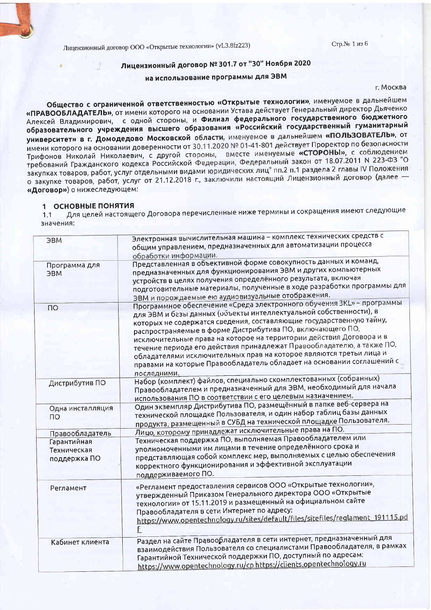Стр.№ 1 из 6

## Лицензионный договор № 301.7 от "30" Ноября 2020

#### на использование программы для ЭВМ

#### г. Москва

Общество с ограниченной ответственностью «Открытые технологии», именуемое в дальнейшем «ПРАВООБЛАДАТЕЛЬ», от имени которого на основании Устава действует Генеральный директор Дьяченко Алексей Владимирович, с одной стороны, и Филиал федерального государственного бюджетного образовательного учреждения высшего образования «Российский государственный гуманитарный университет» в г. Домодедово Московской области, именуемое в дальнейшем «ПОЛЬЗОВАТЕЛЬ», от имени которого на основании доверенности от 30.11.2020 № 01-41-801 действует Проректор по безопасности Трифонов Николай Николаевич, с другой стороны, вместе именуемые «СТОРОНЫ», с соблюдением требований Гражданского кодекса Российской Федерации, Федеральный закон от 18.07.2011 N 223-ФЗ "О закупках товаров, работ, услуг отдельными видами юридических лиц" пп.2 п.1 раздела 2 главы IV Положения о закупке товаров, работ, услуг от 21.12.2018 г., заключили настоящий Лицензионный договор (далее -«Договор») о нижеследующем:

#### 1 ОСНОВНЫЕ ПОНЯТИЯ

Для целей настоящего Договора перечисленные ниже термины и сокращения имеют следующие  $1.1$ значения:

| <b>JBM</b>                                 | Электронная вычислительная машина – комплекс технических средств с<br>общим управлением, предназначенных для автоматизации процесса<br>обработки информации.                                                                                                                                                                                                                                                                                                                                                                                                                                 |
|--------------------------------------------|----------------------------------------------------------------------------------------------------------------------------------------------------------------------------------------------------------------------------------------------------------------------------------------------------------------------------------------------------------------------------------------------------------------------------------------------------------------------------------------------------------------------------------------------------------------------------------------------|
| Программа для<br>ЭВМ                       | Представленная в объективной форме совокупность данных и команд,<br>предназначенных для функционирования ЭВМ и других компьютерных<br>устройств в целях получения определённого результата, включая<br>подготовительные материалы, полученные в ходе разработки программы для<br>ЭВМ и порождаемые ею аудиовизуальные отображения.                                                                                                                                                                                                                                                           |
| ПО                                         | Программное обеспечение «Среда электронного обучения ЗКL» - программы<br>для ЭВМ и базы данных (объекты интеллектуальной собственности), в<br>которых не содержатся сведения, составляющие государственную тайну,<br>распространяемые в форме Дистрибутива ПО, включающего ПО,<br>исключительные права на которое на территории действия Договора и в<br>течение периода его действия принадлежат Правообладателю, а также ПО,<br>обладателями исключительных прав на которое являются третьи лица и<br>правами на которые Правообладатель обладает на основании соглашений с<br>последними. |
| Дистрибутив ПО                             | Набор (комплект) файлов, специально скомплектованных (собранных)<br>Правообладателем и предназначенный для ЭВМ, необходимый для начала<br>использования ПО в соответствии с его целевым назначением.                                                                                                                                                                                                                                                                                                                                                                                         |
| Одна инсталляция<br>$\overline{10}$        | Один экземпляр Дистрибутива ПО, размещённый в папке веб-сервера на<br>технической площадке Пользователя, и один набор таблиц базы данных<br>продукта, размещенный в СУБД на технической площадке Пользователя.                                                                                                                                                                                                                                                                                                                                                                               |
| Правообладатель                            | Лицо, которому принадлежат исключительные права на ПО.                                                                                                                                                                                                                                                                                                                                                                                                                                                                                                                                       |
| Гарантийная<br>Техническая<br>поддержка ПО | Техническая поддержка ПО, выполняемая Правообладателем или<br>уполномоченными им лицами в течение определённого срока и<br>представляющая собой комплекс мер, выполняемых с целью обеспечения<br>корректного функционирования и эффективной эксплуатации<br>поддерживаемого ПО.                                                                                                                                                                                                                                                                                                              |
| Регламент                                  | «Регламент предоставления сервисов ООО «Открытые технологии»,<br>утвержденный Приказом Генерального директора ООО «Открытые<br>технологии» от 15.11.2019 и размещенный на официальном сайте<br>Правообладателя в сети Интернет по адресу:<br>https://www.opentechnology.ru/sites/default/files/sitefiles/reglament_191115.pd<br>f                                                                                                                                                                                                                                                            |
| Кабинет клиента                            | Раздел на сайте Правообладателя в сети интернет, предназначенный для<br>взаимодействия Пользователя со специалистами Правообладателя, в рамках<br>Гарантийной Технической поддержки ПО, доступный по адресам:<br>https://www.opentechnology.ru/cp https://clients.opentechnology.ru                                                                                                                                                                                                                                                                                                          |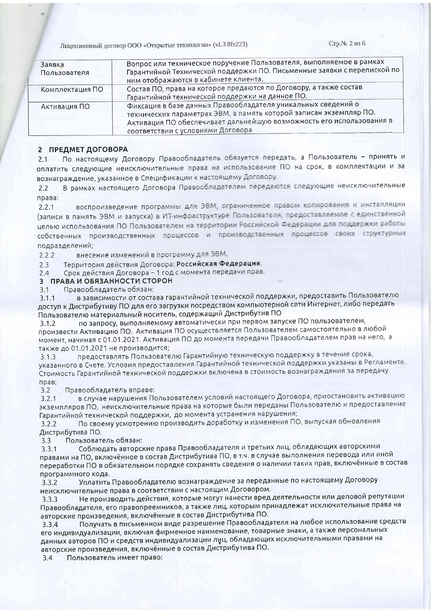| Заявка<br>Пользователя | Вопрос или техническое поручение Пользователя, выполняемое в рамках<br>Гарантийной Технической поддержки ПО. Письменные заявки с перепиской по<br>ним отображаются в кабинете клиента.                                                          |
|------------------------|-------------------------------------------------------------------------------------------------------------------------------------------------------------------------------------------------------------------------------------------------|
| Комплектация ПО        | Состав ПО, права на которое предаются по Договору, а также состав<br>Гарантийной технической поддержки на данное ПО.                                                                                                                            |
| Активация ПО           | Фиксация в базе данных Правообладателя уникальных сведений о<br>технических параметрах ЭВМ, в память которой записан экземпляр ПО.<br>Активация ПО обеспечивает дальнейшую возможность его использования в<br>соответствии с условиями Договора |

#### 2 ПРЕДМЕТ ДОГОВОРА

По настоящему Договору Правообладатель обязуется передать, а Пользователь - принять и  $2.1$ оплатить следующие неисключительные права на использование ПО на срок, в комплектации и за вознаграждение, указанное в Спецификации к настоящему Договору.

В рамках настоящего Договора Правообладателем передаются следующие неисключительные  $2.2$ права:

воспроизведение программы для ЭВМ, ограниченное правом копирования и инсталляции  $2.2.1$ (записи в память ЭВМ и запуска) в ИТ-инфраструктуре Пользователя, предоставляемое с единственной целью использования ПО Пользователем на территории Российской Федерации для поддержки работы собственных производственных процессов и производственных процессов своих структурных подразделений;

 $2.2.2$ внесение изменений в программу для ЭВМ.

Территория действия Договора: Российская Федерация.  $2.3$ 

Срок действия Договора - 1 год с момента передачи прав.  $2.4$ 

### 3 ПРАВА И ОБЯЗАННОСТИ СТОРОН

Правообладатель обязан:  $3.1$ 

в зависимости от состава гарантийной технической поддержки, предоставить Пользователю  $3.1.1$ доступ к Дистрибутиву ПО для его загрузки посредством компьютерной сети Интернет, либо передать Пользователю материальный носитель, содержащий Дистрибутив ПО

по запросу, выполняемому автоматически при первом запуске ПО пользователем,  $3.1.2$ произвести Активацию ПО. Активация ПО осуществляется Пользователем самостоятельно в любой момент, начиная с 01.01.2021. Активация ПО до момента передачи Правообладателем прав на него, а также до 01.01.2021 не производится;

предоставлять Пользователю Гарантийную техническую поддержку в течение срока,  $3.1.3$ указанного в Счете. Условия предоставления Гарантийной технической поддержки указаны в Регламенте. Стоимость Гарантийной технической поддержки включена в стоимость вознаграждения за передачу  $DDAB$ 

 $3.2$ Правообладатель вправе:

в случае нарушения Пользователем условий настоящего Договора, приостановить активацию  $3.2.1$ экземпляров ПО, неисключительные права на которые были переданы Пользователю и предоставление Гарантийной технической поддержки, до момента устранения нарушения;

По своему усмотрению производить доработку и изменения ПО, выпуская обновления  $3.2.2$ Дистрибутива ПО.

Пользователь обязан:  $3.3$ 

Соблюдать авторские права Правообладателя и третьих лиц, обладающих авторскими  $3.3.1$ правами на ПО, включённое в состав Дистрибутива ПО, в т.ч. в случае выполнения перевода или иной переработки ПО в обязательном порядке сохранять сведения о наличии таких прав, включённые в состав программного кода.

Уплатить Правообладателю вознаграждение за переданные по настоящему Договору  $3.3.2$ неисключительные права в соответствии с настоящим Договором.

Не производить действия, которые могут нанести вред деятельности или деловой репутации 3.3.3 Правообладателя, его правопреемников, а также лиц, которым принадлежат исключительные права на авторские произведения, включённые в состав Дистрибутива ПО.

Получать в письменном виде разрешение Правообладателя на любое использование средств  $3.3.4$ его индивидуализации, включая фирменное наименование, товарные знаки, а также персональных данных авторов ПО и средств индивидуализации лиц, обладающих исключительными правами на авторские произведения, включённые в состав Дистрибутива ПО.

Пользователь имеет право:  $3.4$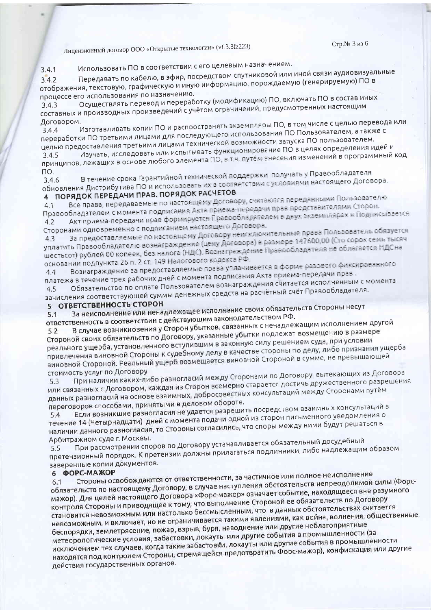Стр.№ 3 из 6

Использовать ПО в соответствии с его целевым назначением. 3.4.1

Передавать по кабелю, в эфир, посредством спутниковой или иной связи аудиовизуальные отображения, текстовую, графическую и иную информацию, порождаемую (генерируемую) ПО в процессе его использования по назначению.

Осуществлять перевод и переработку (модификацию) ПО, включать ПО в состав иных составных и производных произведений с учётом ограничений, предусмотренных настоящим

Изготавливать копии ПО и распространять экземпляры ПО, в том числе с целью перевода или Договором. переработки ПО третьими лицами для последующего использования ПО Пользователем, а также с целью предоставления третьими лицами технической возможности запуска ПО пользователем. Изучать, исследовать или испытывать функционирование ПО в целях определения идей и

принципов, лежащих в основе любого элемента ПО, в т.ч. путём внесения изменений в программный код  $\overline{10}$ .

В течение срока Гарантийной технической поддержки получать у Правообладателя обновления Дистрибутива ПО и использовать их в соответствии с условиями настоящего Договора. 4 ПОРЯДОК ПЕРЕДАЧИ ПРАВ. ПОРЯДОК РАСЧЕТОВ

Все права, передаваемые по настоящему Договору, считаются переданными Пользователю Правообладателем с момента подписания Акта приема-передачи прав представителями Сторон.

Акт приема-передачи прав формируется Правообладателем в двух экземплярах и Подписывается  $4.2$ Сторонами одновременно с подписанием настоящего Договора.

За предоставляемые по настоящему Договору неисключительные права Пользователь обязуется уплатить Правообладателю вознаграждение (цену Договора) в размере 147600,00 (Сто сорок семь тысяч шестьсот) рублей 00 копеек, без налога (НДС). Вознаграждение Правообладателя не облагается НДС на основании подпункта 26 п. 2 ст. 149 Налогового кодекса РФ.

Вознаграждение за предоставляемые права уплачивается в форме разового фиксированного платежа в течение трех рабочих дней с момента подписания Акта приема-передачи прав.

Обязательство по оплате Пользователем вознаграждения считается исполненным с момента зачисления соответствующей суммы денежных средств на расчётный счёт Правообладателя.

5 ОТВЕТСТВЕННОСТЬ СТОРОН За неисполнение или ненадлежащее исполнение своих обязательств Стороны несут  $5.1$ ответственность в соответствии с действующим законодательством РФ.

В случае возникновения у Сторон убытков, связанных с ненадлежащим исполнением другой Стороной своих обязательств по Договору, указанные убытки подлежат возмещению в размере реального ущерба, установленного вступившим в законную силу решением суда, при условии привлечения виновной Стороны к судебному делу в качестве стороны по делу, либо признания ущерба виновной Стороной. Реальный ущерб возмещается виновной Стороной в сумме, не превышающей стоимость услуг по Договору

При наличии каких-либо разногласий между Сторонами по Договору, вытекающих из Договора или связанных с Договором, каждая из Сторон всемерно старается достичь дружественного разрешения данных разногласий на основе взаимных, добросовестных консультаций между Сторонами путём переговоров способами, принятыми в деловом обороте.

Если возникшие разногласия не удается разрешить посредством взаимных консультаций в течение 14 (Четырнадцати) дней с момента подачи одной из сторон письменного уведомления о наличии данного разногласия, то Стороны согласились, что споры между ними будут решаться в Арбитражном суде г. Москвы.

При рассмотрении споров по Договору устанавливается обязательный досудебный претензионный порядок. К претензии должны прилагаться подлинники, либо надлежащим образом заверенные копии документов.

### 6 ФОРС-МАЖОР

Стороны освобождаются от ответственности, за частичное или полное неисполнение обязательств по настоящему Договору, в случае наступления обстоятельств непреодолимой силы (Форсмажор). Для целей настоящего Договора «Форс-мажор» означает событие, находящееся вне разумного контроля Стороны и приводящее к тому, что выполнение Стороной ее обязательств по Договору становится невозможным или настолько бессмысленным, что в данных обстоятельствах считается невозможным, и включает, но не ограничивается такими явлениями, как война, волнения, общественные беспорядки, землетрясение, пожар, взрыв, буря, наводнение или другие неблагоприятные метеорологические условия, забастовки, локауты или другие события в промышленности (за исключением тех случаев, когда такие забастовки, локауты или другие события в промышленности находятся под контролем Стороны, стремящейся предотвратить Форс-мажор), конфискация или другие действия государственных органов.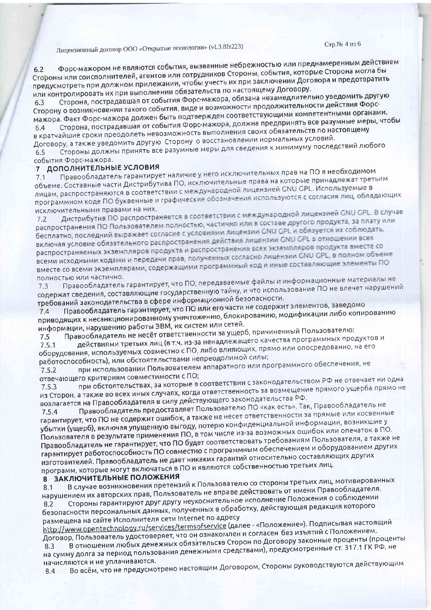Стр.№ 4 из 6

Форс-мажором не являются события, вызванные небрежностью или преднамеренным действием Стороны или соисполнителей, агентов или сотрудников Стороны, события, которые Сторона могла бы предусмотреть при должном прилежании, чтобы учесть их при заключении Договора и предотвратить или контролировать их при выполнении обязательств по настоящему Договору.

Сторона, пострадавшая от события Форс-мажора, обязана незамедлительно уведомить другую Сторону о возникновении такого события, виде и возможности продолжительности действия Форсмажора. Факт Форс-мажора должен быть подтвержден соответствующими компетентными органами. Сторона, пострадавшая от события Форс-мажора, должна предпринять все разумные меры, чтобы в кратчайшие сроки преодолеть невозможность выполнения своих обязательств по настоящему Договору, а также уведомить другую Сторону о восстановлении нормальных условий. Стороны должны принять все разумные меры для сведения к минимуму последствий любого 6.5 события Форс-мажора.

#### ДОПОЛНИТЕЛЬНЫЕ УСЛОВИЯ  $\overline{7}$

Правообладатель гарантирует наличие у него исключительных прав на ПО в необходимом объеме. Составные части Дистрибутива ПО, исключительные права на которые принадлежат третьим лицам, распространяются в соответствии с международной лицензией GNU GPL. Используемые в программном коде ПО буквенные и графические обозначения используются с согласия лиц, обладающих исключительными правами на них.

Дистрибутив ПО распространяется в соответствии с международной лицензией GNU GPL. В случае распространения ПО Пользователем полностью, частично или в составе другого продукта, за плату или .<br>бесплатно, последний выражает согласие с условиями лицензии GNU GPL и обязуется их соблюдать, включая условие обязательного распространения действия лицензии GNU GPL в отношении всех распространяемых экземпляров продукта и распространения всех экземпляров продукта вместе со всеми исходными кодами и передачи прав, полученных согласно лицензии GNU GPL, в полном объеме вместе со всеми экземплярами, содержащими программный код и иные составляющие элементы ПО полностью или частично.

Правообладатель гарантирует, что ПО, передаваемые файлы и информационные материалы не содержат сведения, составляющие государственную тайну, и что использование ПО не влечет нарушений требований законодательства в сфере информационной безопасности.

Правообладатель гарантирует, что ПО или его части не содержит элементов, заведомо приводящих к несанкционированному уничтожению, блокированию, модификации либо копированию информации, нарушению работы ЭВМ, их систем или сетей.

Правообладатель не несёт ответственности за ущерб, причиненный Пользователю: действиями третьих лиц (в т.ч. из-за ненадлежащего качества программных продуктов и 7.5 оборудования, используемых совместно с ПО, либо влияющих, прямо или опосредованно, на его  $7.5.1$ работоспособность), или обстоятельствами непреодолимой силы;

при использовании Пользователем аппаратного или программного обеспечения, не  $7.5.2$ отвечающего критериям совместимости с ПО;

при обстоятельствах, за которые в соответствии с законодательством РФ не отвечает ни одна из Сторон, а также во всех иных случаях, когда ответственность за возмещение прямого ущерба прямо не возлагается на Правообладателя в силу действующего законодательства РФ.

Правообладатель предоставляет Пользователю ПО «как есть». Так, Правообладатель не гарантирует, что ПО не содержит ошибок, а также не несет ответственности за прямые или косвенные 7.5.4 убытки (ущерб), включая упущенную выгоду, потерю конфиденциальной информации, возникшие у Пользователя в результате применения ПО, в том числе из-за возможных ошибок или опечаток в ПО. Правообладатель не гарантирует, что ПО будет соответствовать требованиям Пользователя, а также не гарантирует работоспособность ПО совместно с программным обеспечением и оборудованием других изготовителей. Правообладатель не дает никаких гарантий относительно составляющих других программ, которые могут включаться в ПО и являются собственностью третьих лиц.

## 8 ЗАКЛЮЧИТЕЛЬНЫЕ ПОЛОЖЕНИЯ

В случае возникновения претензий к Пользователю со стороны третьих лиц, мотивированных нарушением их авторских прав, Пользователь не вправе действовать от имени Правообладателя. Стороны гарантируют друг другу неукоснительное исполнение Положения о соблюдении безопасности персональных данных, полученных в обработку, действующая редакция которого

размещена на сайте Исполнителя сети Internet по адресу http://www.opentechnology.ru/services/termsofservice (далее - «Положение»). Подписывая настоящий Договор, Пользователь удостоверяет, что он ознакомлен и согласен без изъятий с Положением.

В отношении любых денежных обязательств Сторон по Договору законные проценты (проценты на сумму долга за период пользования денежными средствами), предусмотренные ст. 317.1 ГК РФ, не начисляются и не уплачиваются.

Во всём, что не предусмотрено настоящим Договором, Стороны руководствуются действующим

8.4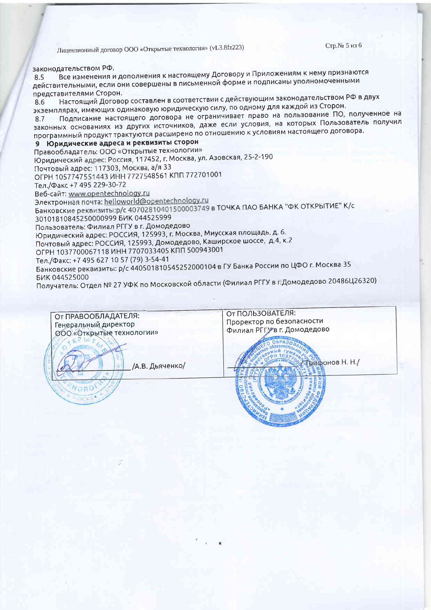#### законодательством РФ.

Все изменения и дополнения к настоящему Договору и Приложениям к нему признаются 8.5 действительными, если они совершены в письменной форме и подписаны уполномоченными представителями Сторон.

Настоящий Договор составлен в соответствии с действующим законодательством РФ в двух 8.6 экземплярах, имеющих одинаковую юридическую силу, по одному для каждой из Сторон.

Подписание настоящего договора не ограничивает право на пользование ПО, полученное на законных основаниях из других источников, даже если условия, на которых Пользователь получил 8.7 программный продукт трактуются расширено по отношению к условиям настоящего договора.

## 9 Юридические адреса и реквизиты сторон

Правообладатель: ООО «Открытые технологии» Юридический адрес: Россия, 117452, г. Москва, ул. Азовская, 25-2-190 Почтовый адрес: 117303, Москва, а/я 33 ОГРН 1057747551443 ИНН 7727548561 КПП 772701001 Тел./Факс +7 495 229-30-72 Веб-сайт: www.opentechnology.ru Электронная почта: helloworld@opentechnology.ru Банковские реквизиты: p/c 40702810401500003749 в ТОЧКА ПАО БАНКА "ФК ОТКРЫТИЕ" К/с 30101810845250000999 БИК 044525999 Пользователь: Филиал РГГУ в г. Домодедово Юридический адрес: РОССИЯ, 125993, г. Москва, Миусская площадь, д. 6.

Почтовый адрес: РОССИЯ, 125993, Домодедово, Каширское шоссе, д.4, к.2

ОГРН 1037700067118 ИНН 7707033405 КПП 500943001

Тел./Факс: +7 495 627 10 57 (79) 3-54-41

Банковские реквизиты: р/с 440501810545252000104 в ГУ Банка России по ЦФО г. Москва 35 **БИК 044525000** 

Получатель: Отдел № 27 УФК по Московской области (Филиал РГГУ в г.Домодедово 20486Ц26320)